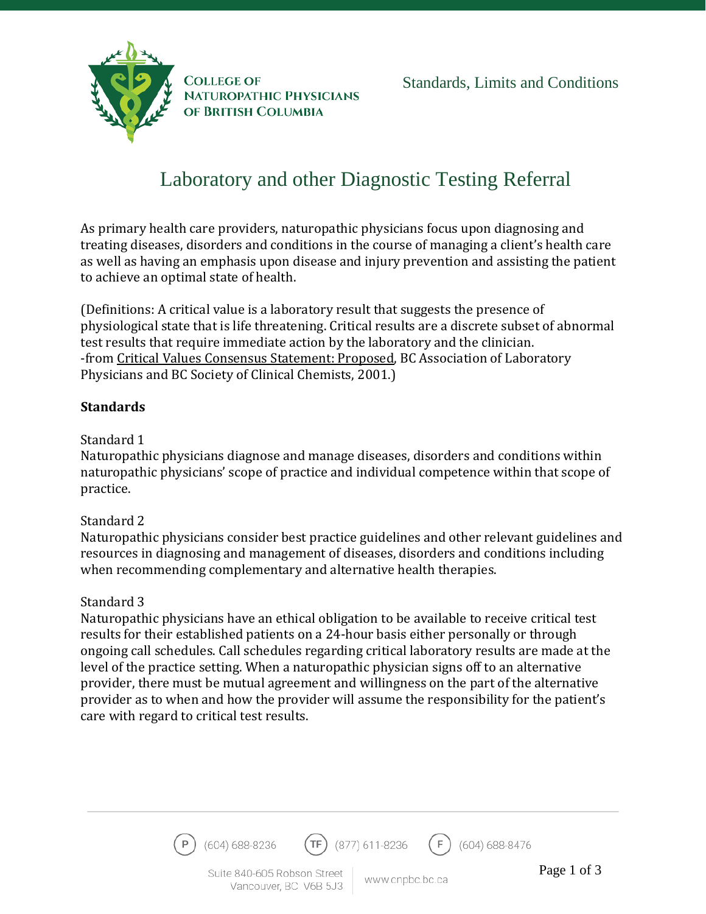



**COLLEGE OF NATUROPATHIC PHYSICIANS** OF BRITISH COLUMBIA

# Laboratory and other Diagnostic Testing Referral

As primary health care providers, naturopathic physicians focus upon diagnosing and treating diseases, disorders and conditions in the course of managing a client's health care as well as having an emphasis upon disease and injury prevention and assisting the patient to achieve an optimal state of health.

(Definitions: A critical value is a laboratory result that suggests the presence of physiological state that is life threatening. Critical results are a discrete subset of abnormal test results that require immediate action by the laboratory and the clinician. -from Critical Values Consensus Statement: Proposed, BC Association of Laboratory Physicians and BC Society of Clinical Chemists, 2001.)

## **Standards**

#### Standard 1

Naturopathic physicians diagnose and manage diseases, disorders and conditions within naturopathic physicians' scope of practice and individual competence within that scope of practice.

## Standard 2

Naturopathic physicians consider best practice guidelines and other relevant guidelines and resources in diagnosing and management of diseases, disorders and conditions including when recommending complementary and alternative health therapies.

## Standard 3

Naturopathic physicians have an ethical obligation to be available to receive critical test results for their established patients on a 24-hour basis either personally or through ongoing call schedules. Call schedules regarding critical laboratory results are made at the level of the practice setting. When a naturopathic physician signs off to an alternative provider, there must be mutual agreement and willingness on the part of the alternative provider as to when and how the provider will assume the responsibility for the patient's care with regard to critical test results.

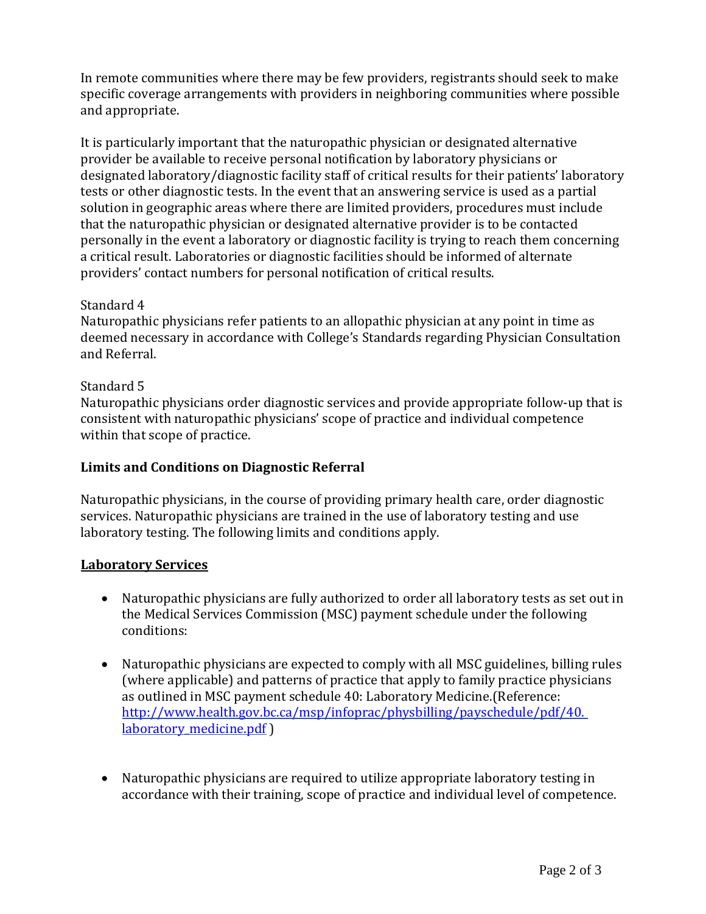In remote communities where there may be few providers, registrants should seek to make specific coverage arrangements with providers in neighboring communities where possible and appropriate.

It is particularly important that the naturopathic physician or designated alternative provider be available to receive personal notification by laboratory physicians or designated laboratory/diagnostic facility staff of critical results for their patients' laboratory tests or other diagnostic tests. In the event that an answering service is used as a partial solution in geographic areas where there are limited providers, procedures must include that the naturopathic physician or designated alternative provider is to be contacted personally in the event a laboratory or diagnostic facility is trying to reach them concerning a critical result. Laboratories or diagnostic facilities should be informed of alternate providers' contact numbers for personal notification of critical results.

## Standard 4

Naturopathic physicians refer patients to an allopathic physician at any point in time as deemed necessary in accordance with College's Standards regarding Physician Consultation and Referral.

#### Standard 5

Naturopathic physicians order diagnostic services and provide appropriate follow-up that is consistent with naturopathic physicians' scope of practice and individual competence within that scope of practice.

## **Limits and Conditions on Diagnostic Referral**

Naturopathic physicians, in the course of providing primary health care, order diagnostic services. Naturopathic physicians are trained in the use of laboratory testing and use laboratory testing. The following limits and conditions apply.

#### **Laboratory Services**

- Naturopathic physicians are fully authorized to order all laboratory tests as set out in the Medical Services Commission (MSC) payment schedule under the following conditions:
- Naturopathic physicians are expected to comply with all MSC guidelines, billing rules (where applicable) and patterns of practice that apply to family practice physicians as outlined in MSC payment schedule 40: Laboratory Medicine.(Reference: [http://www.health.gov.bc.ca/msp/infoprac/physbilling/payschedule/pdf/40.](http://www.health.gov.bc.ca/msp/infoprac/physbilling/payschedule/pdf/40.%20laboratory_medicine.pdf)  laboratory medicine.pdf )
- Naturopathic physicians are required to utilize appropriate laboratory testing in accordance with their training, scope of practice and individual level of competence.